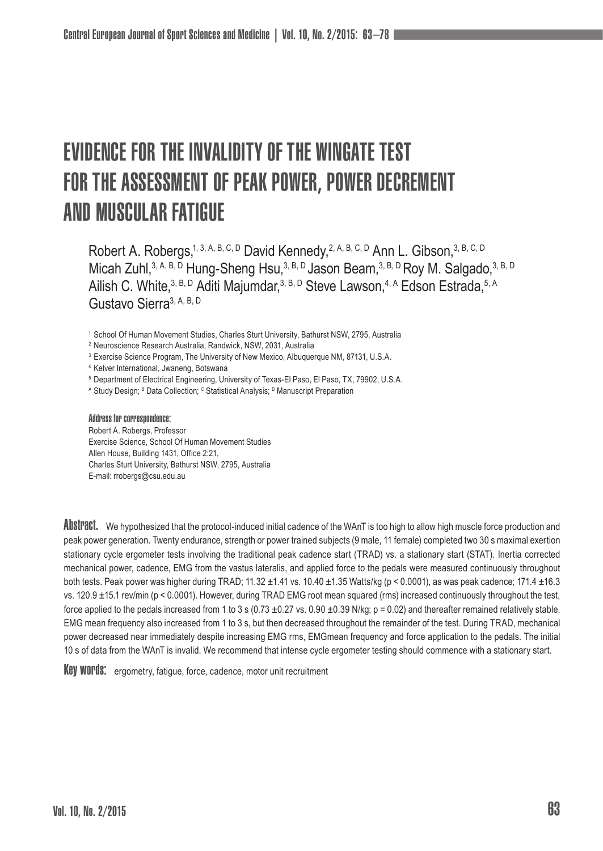# EVIDENCE FOR THE INVALIDITY OF THE WINGATE TEST FOR THE ASSESSMENT OF PEAK POWER, POWER DECREMENT AND MUSCULAR FATIGUE

Robert A. Robergs, 1, 3, A, B, C, D David Kennedy, 2, A, B, C, D Ann L. Gibson, 3, B, C, D Micah Zuhl, 3, A, B, D Hung-Sheng Hsu, 3, B, D Jason Beam, 3, B, D Roy M. Salgado, 3, B, D Ailish C. White,<sup>3, B, D</sup> Aditi Majumdar,<sup>3, B, D</sup> Steve Lawson,<sup>4, A</sup> Edson Estrada, 5, A Gustavo Sierra3, A, B, D

<sup>1</sup> School Of Human Movement Studies, Charles Sturt University, Bathurst NSW, 2795, Australia

<sup>2</sup> Neuroscience Research Australia, Randwick, NSW, 2031, Australia

<sup>3</sup> Exercise Science Program, The University of New Mexico, Albuguergue NM, 87131, U.S.A.

<sup>4</sup> Kelver International, Jwaneng, Botswana

<sup>5</sup> Department of Electrical Engineering, University of Texas-El Paso, El Paso, TX, 79902, U.S.A.

^ Study Design; <sup>в</sup> Data Collection; <sup>с</sup> Statistical Analysis; <sup>в</sup> Manuscript Preparation

Address for correspondence: Robert A. Robergs, Professor Exercise Science, School Of Human Movement Studies Allen House, Building 1431, Office 2:21, Charles Sturt University, Bathurst NSW, 2795, Australia E-mail: rrobergs@csu.edu.au

ADSTPACT. We hypothesized that the protocol-induced initial cadence of the WAnT is too high to allow high muscle force production and peak power generation. Twenty endurance, strength or power trained subjects (9 male, 11 female) completed two 30 s maximal exertion stationary cycle ergometer tests involving the traditional peak cadence start (TRAD) vs. a stationary start (STAT). Inertia corrected mechanical power, cadence, EMG from the vastus lateralis, and applied force to the pedals were measured continuously throughout both tests. Peak power was higher during TRAD; 11.32  $\pm$ 1.41 vs. 10.40  $\pm$ 1.35 Watts/kg (p < 0.0001), as was peak cadence; 171.4  $\pm$ 16.3 vs. 120.9 ±15.1 rev/min (p < 0.0001). However, during TRAD EMG root mean squared (rms) increased continuously throughout the test, force applied to the pedals increased from 1 to 3 s (0.73  $\pm$ 0.27 vs. 0.90  $\pm$ 0.39 N/kg; p = 0.02) and thereafter remained relatively stable. EMG mean frequency also increased from 1 to 3 s, but then decreased throughout the remainder of the test. During TRAD, mechanical power decreased near immediately despite increasing EMG rms, EMGmean frequency and force application to the pedals. The initial 10 s of data from the WAnT is invalid. We recommend that intense cycle ergometer testing should commence with a stationary start.

Key WOPUS: ergometry, fatigue, force, cadence, motor unit recruitment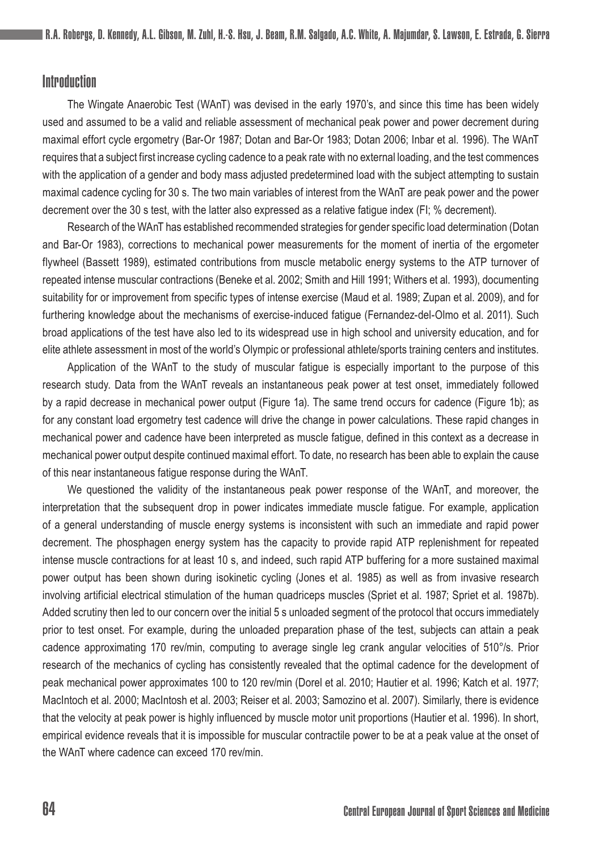## Introduction

The Wingate Anaerobic Test (WAnT) was devised in the early 1970's, and since this time has been widely used and assumed to be a valid and reliable assessment of mechanical peak power and power decrement during maximal effort cycle ergometry (Bar-Or 1987; Dotan and Bar-Or 1983; Dotan 2006; Inbar et al. 1996). The WAnT requires that a subject first increase cycling cadence to a peak rate with no external loading, and the test commences with the application of a gender and body mass adjusted predetermined load with the subject attempting to sustain maximal cadence cycling for 30 s. The two main variables of interest from the WAnT are peak power and the power decrement over the 30 s test, with the latter also expressed as a relative fatigue index (FI; % decrement).

Research of the WAnT has established recommended strategies for gender specific load determination (Dotan and Bar-Or 1983), corrections to mechanical power measurements for the moment of inertia of the ergometer flywheel (Bassett 1989), estimated contributions from muscle metabolic energy systems to the ATP turnover of repeated intense muscular contractions (Beneke et al. 2002; Smith and Hill 1991; Withers et al. 1993), documenting suitability for or improvement from specific types of intense exercise (Maud et al. 1989; Zupan et al. 2009), and for furthering knowledge about the mechanisms of exercise-induced fatigue (Fernandez-del-Olmo et al. 2011). Such broad applications of the test have also led to its widespread use in high school and university education, and for elite athlete assessment in most of the world's Olympic or professional athlete/sports training centers and institutes.

Application of the WAnT to the study of muscular fatigue is especially important to the purpose of this research study. Data from the WAnT reveals an instantaneous peak power at test onset, immediately followed by a rapid decrease in mechanical power output (Figure 1a). The same trend occurs for cadence (Figure 1b); as for any constant load ergometry test cadence will drive the change in power calculations. These rapid changes in mechanical power and cadence have been interpreted as muscle fatigue, defined in this context as a decrease in mechanical power output despite continued maximal effort. To date, no research has been able to explain the cause of this near instantaneous fatigue response during the WAnT.

We questioned the validity of the instantaneous peak power response of the WAnT, and moreover, the interpretation that the subsequent drop in power indicates immediate muscle fatigue. For example, application of a general understanding of muscle energy systems is inconsistent with such an immediate and rapid power decrement. The phosphagen energy system has the capacity to provide rapid ATP replenishment for repeated intense muscle contractions for at least 10 s, and indeed, such rapid ATP buffering for a more sustained maximal power output has been shown during isokinetic cycling (Jones et al. 1985) as well as from invasive research involving artificial electrical stimulation of the human quadriceps muscles (Spriet et al. 1987; Spriet et al. 1987b). Added scrutiny then led to our concern over the initial 5 s unloaded segment of the protocol that occurs immediately prior to test onset. For example, during the unloaded preparation phase of the test, subjects can attain a peak cadence approximating 170 rev/min, computing to average single leg crank angular velocities of 510°/s. Prior research of the mechanics of cycling has consistently revealed that the optimal cadence for the development of peak mechanical power approximates 100 to 120 rev/min (Dorel et al. 2010; Hautier et al. 1996; Katch et al. 1977; MacIntoch et al. 2000; MacIntosh et al. 2003; Reiser et al. 2003; Samozino et al. 2007). Similarly, there is evidence that the velocity at peak power is highly influenced by muscle motor unit proportions (Hautier et al. 1996). In short, empirical evidence reveals that it is impossible for muscular contractile power to be at a peak value at the onset of the WAnT where cadence can exceed 170 rev/min.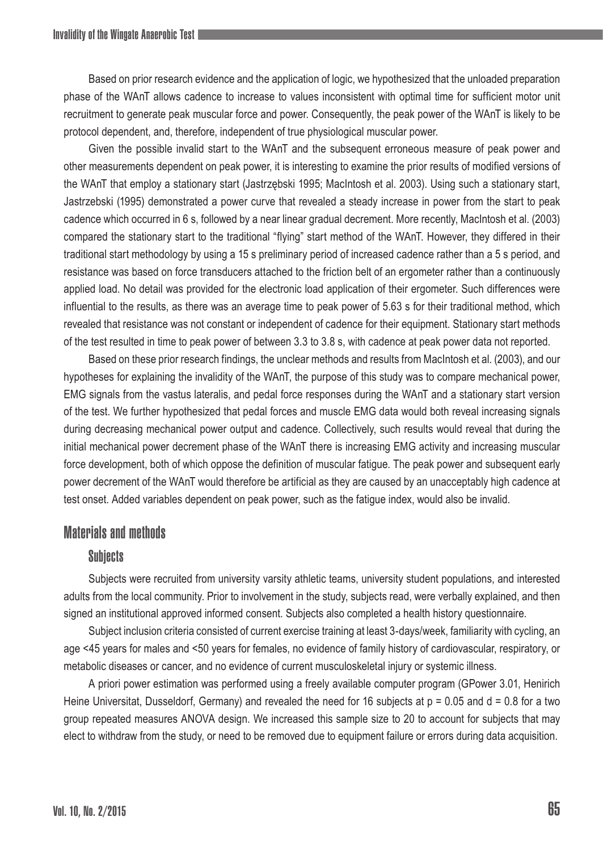Based on prior research evidence and the application of logic, we hypothesized that the unloaded preparation phase of the WAnT allows cadence to increase to values inconsistent with optimal time for sufficient motor unit recruitment to generate peak muscular force and power. Consequently, the peak power of the WAnT is likely to be protocol dependent, and, therefore, independent of true physiological muscular power.

Given the possible invalid start to the WAnT and the subsequent erroneous measure of peak power and other measurements dependent on peak power, it is interesting to examine the prior results of modified versions of the WAnT that employ a stationary start (Jastrzębski 1995; MacIntosh et al. 2003). Using such a stationary start, Jastrzebski (1995) demonstrated a power curve that revealed a steady increase in power from the start to peak cadence which occurred in 6 s, followed by a near linear gradual decrement. More recently, MacIntosh et al. (2003) compared the stationary start to the traditional "flying" start method of the WAnT. However, they differed in their traditional start methodology by using a 15 s preliminary period of increased cadence rather than a 5 s period, and resistance was based on force transducers attached to the friction belt of an ergometer rather than a continuously applied load. No detail was provided for the electronic load application of their ergometer. Such differences were influential to the results, as there was an average time to peak power of 5.63 s for their traditional method, which revealed that resistance was not constant or independent of cadence for their equipment. Stationary start methods of the test resulted in time to peak power of between 3.3 to 3.8 s, with cadence at peak power data not reported.

Based on these prior research findings, the unclear methods and results from MacIntosh et al. (2003), and our hypotheses for explaining the invalidity of the WAnT, the purpose of this study was to compare mechanical power, EMG signals from the vastus lateralis, and pedal force responses during the WAnT and a stationary start version of the test. We further hypothesized that pedal forces and muscle EMG data would both reveal increasing signals during decreasing mechanical power output and cadence. Collectively, such results would reveal that during the initial mechanical power decrement phase of the WAnT there is increasing EMG activity and increasing muscular force development, both of which oppose the definition of muscular fatigue. The peak power and subsequent early power decrement of the WAnT would therefore be artificial as they are caused by an unacceptably high cadence at test onset. Added variables dependent on peak power, such as the fatigue index, would also be invalid.

## Materials and methods

### **Subjects**

Subjects were recruited from university varsity athletic teams, university student populations, and interested adults from the local community. Prior to involvement in the study, subjects read, were verbally explained, and then signed an institutional approved informed consent. Subjects also completed a health history questionnaire.

Subject inclusion criteria consisted of current exercise training at least 3-days/week, familiarity with cycling, an age <45 years for males and <50 years for females, no evidence of family history of cardiovascular, respiratory, or metabolic diseases or cancer, and no evidence of current musculoskeletal injury or systemic illness.

A priori power estimation was performed using a freely available computer program (GPower 3.01, Henirich Heine Universitat, Dusseldorf, Germany) and revealed the need for 16 subjects at  $p = 0.05$  and  $d = 0.8$  for a two group repeated measures ANOVA design. We increased this sample size to 20 to account for subjects that may elect to withdraw from the study, or need to be removed due to equipment failure or errors during data acquisition.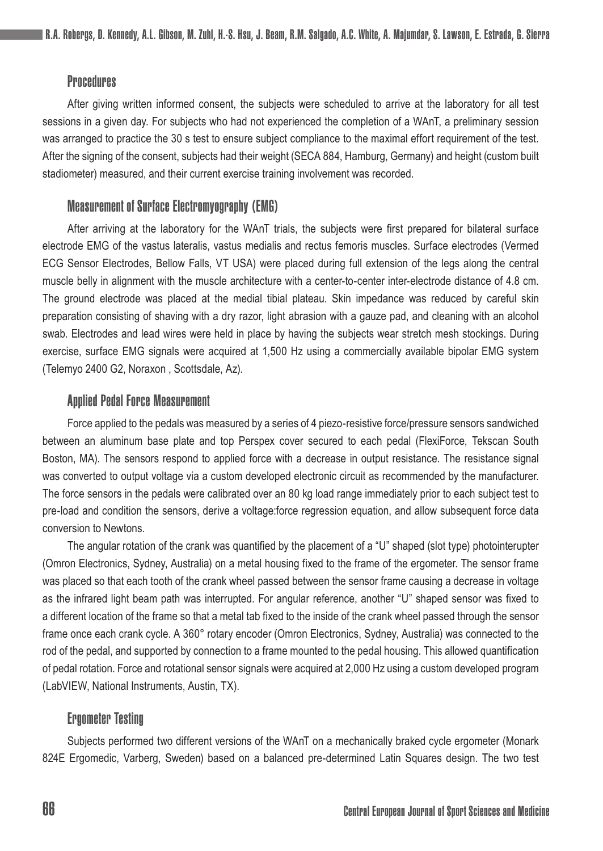## **Procedures**

After giving written informed consent, the subjects were scheduled to arrive at the laboratory for all test sessions in a given day. For subjects who had not experienced the completion of a WAnT, a preliminary session was arranged to practice the 30 s test to ensure subject compliance to the maximal effort requirement of the test. After the signing of the consent, subjects had their weight (SECA 884, Hamburg, Germany) and height (custom built stadiometer) measured, and their current exercise training involvement was recorded.

## Measurement of Surface Electromyography (EMG)

After arriving at the laboratory for the WAnT trials, the subjects were first prepared for bilateral surface electrode EMG of the vastus lateralis, vastus medialis and rectus femoris muscles. Surface electrodes (Vermed ECG Sensor Electrodes, Bellow Falls, VT USA) were placed during full extension of the legs along the central muscle belly in alignment with the muscle architecture with a center-to-center inter-electrode distance of 4.8 cm. The ground electrode was placed at the medial tibial plateau. Skin impedance was reduced by careful skin preparation consisting of shaving with a dry razor, light abrasion with a gauze pad, and cleaning with an alcohol swab. Electrodes and lead wires were held in place by having the subjects wear stretch mesh stockings. During exercise, surface EMG signals were acquired at 1,500 Hz using a commercially available bipolar EMG system (Telemyo 2400 G2, Noraxon , Scottsdale, Az).

#### Applied Pedal Force Measurement

Force applied to the pedals was measured by a series of 4 piezo-resistive force/pressure sensors sandwiched between an aluminum base plate and top Perspex cover secured to each pedal (FlexiForce, Tekscan South Boston, MA). The sensors respond to applied force with a decrease in output resistance. The resistance signal was converted to output voltage via a custom developed electronic circuit as recommended by the manufacturer. The force sensors in the pedals were calibrated over an 80 kg load range immediately prior to each subject test to pre-load and condition the sensors, derive a voltage:force regression equation, and allow subsequent force data conversion to Newtons.

The angular rotation of the crank was quantified by the placement of a "U" shaped (slot type) photointerupter (Omron Electronics, Sydney, Australia) on a metal housing fixed to the frame of the ergometer. The sensor frame was placed so that each tooth of the crank wheel passed between the sensor frame causing a decrease in voltage as the infrared light beam path was interrupted. For angular reference, another "U" shaped sensor was fixed to a different location of the frame so that a metal tab fixed to the inside of the crank wheel passed through the sensor frame once each crank cycle. A 360° rotary encoder (Omron Electronics, Sydney, Australia) was connected to the rod of the pedal, and supported by connection to a frame mounted to the pedal housing. This allowed quantification of pedal rotation. Force and rotational sensor signals were acquired at 2,000 Hz using a custom developed program (LabVIEW, National Instruments, Austin, TX).

#### Ergometer Testing

Subjects performed two different versions of the WAnT on a mechanically braked cycle ergometer (Monark 824E Ergomedic, Varberg, Sweden) based on a balanced pre-determined Latin Squares design. The two test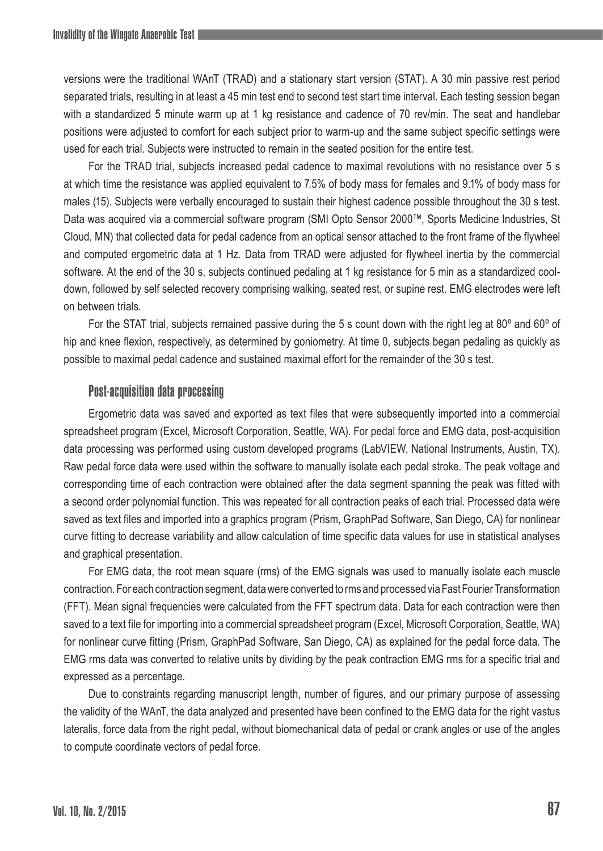versions were the traditional WAnT (TRAD) and a stationary start version (STAT). A 30 min passive rest period separated trials, resulting in at least a 45 min test end to second test start time interval. Each testing session began with a standardized 5 minute warm up at 1 kg resistance and cadence of 70 rev/min. The seat and handlebar positions were adjusted to comfort for each subject prior to warm-up and the same subject specific settings were used for each trial. Subjects were instructed to remain in the seated position for the entire test.

For the TRAD trial, subjects increased pedal cadence to maximal revolutions with no resistance over 5 s at which time the resistance was applied equivalent to 7.5% of body mass for females and 9.1% of body mass for males (15). Subjects were verbally encouraged to sustain their highest cadence possible throughout the 30 s test. Data was acquired via a commercial software program (SMI Opto Sensor 2000™, Sports Medicine Industries, St Cloud, MN) that collected data for pedal cadence from an optical sensor attached to the front frame of the flywheel and computed ergometric data at 1 Hz. Data from TRAD were adjusted for flywheel inertia by the commercial software. At the end of the 30 s, subjects continued pedaling at 1 kg resistance for 5 min as a standardized cooldown, followed by self selected recovery comprising walking, seated rest, or supine rest. EMG electrodes were left on between trials.

For the STAT trial, subjects remained passive during the 5 s count down with the right leg at 80° and 60° of hip and knee flexion, respectively, as determined by goniometry. At time 0, subjects began pedaling as quickly as possible to maximal pedal cadence and sustained maximal effort for the remainder of the 30 s test.

### Post-acquisition data processing

Ergometric data was saved and exported as text files that were subsequently imported into a commercial spreadsheet program (Excel, Microsoft Corporation, Seattle, WA). For pedal force and EMG data, post-acquisition data processing was performed using custom developed programs (LabVIEW, National Instruments, Austin, TX). Raw pedal force data were used within the software to manually isolate each pedal stroke. The peak voltage and corresponding time of each contraction were obtained after the data segment spanning the peak was fitted with a second order polynomial function. This was repeated for all contraction peaks of each trial. Processed data were saved as text files and imported into a graphics program (Prism, GraphPad Software, San Diego, CA) for nonlinear curve fitting to decrease variability and allow calculation of time specific data values for use in statistical analyses and graphical presentation.

For EMG data, the root mean square (rms) of the EMG signals was used to manually isolate each muscle contraction. For each contraction segment, data were converted to rms and processed via Fast Fourier Transformation (FFT). Mean signal frequencies were calculated from the FFT spectrum data. Data for each contraction were then saved to a text file for importing into a commercial spreadsheet program (Excel, Microsoft Corporation, Seattle, WA) for nonlinear curve fitting (Prism, GraphPad Software, San Diego, CA) as explained for the pedal force data. The EMG rms data was converted to relative units by dividing by the peak contraction EMG rms for a specific trial and expressed as a percentage.

Due to constraints regarding manuscript length, number of figures, and our primary purpose of assessing the validity of the WAnT, the data analyzed and presented have been confined to the EMG data for the right vastus lateralis, force data from the right pedal, without biomechanical data of pedal or crank angles or use of the angles to compute coordinate vectors of pedal force.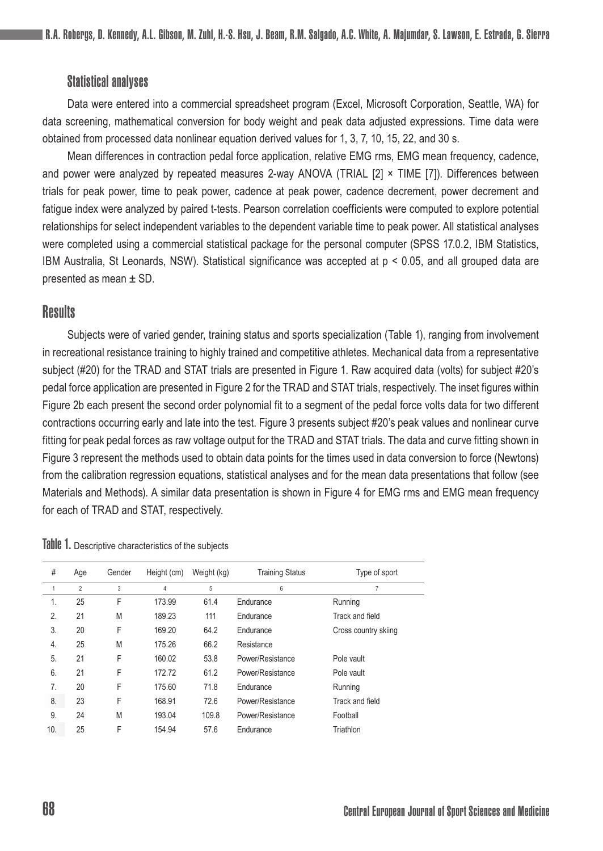## Statistical analyses

Data were entered into a commercial spreadsheet program (Excel, Microsoft Corporation, Seattle, WA) for data screening, mathematical conversion for body weight and peak data adjusted expressions. Time data were obtained from processed data nonlinear equation derived values for 1, 3, 7, 10, 15, 22, and 30 s.

Mean differences in contraction pedal force application, relative EMG rms, EMG mean frequency, cadence, and power were analyzed by repeated measures 2-way ANOVA (TRIAL [2] × TIME [7]). Differences between trials for peak power, time to peak power, cadence at peak power, cadence decrement, power decrement and fatigue index were analyzed by paired t-tests. Pearson correlation coefficients were computed to explore potential relationships for select independent variables to the dependent variable time to peak power. All statistical analyses were completed using a commercial statistical package for the personal computer (SPSS 17.0.2, IBM Statistics, IBM Australia, St Leonards, NSW). Statistical significance was accepted at p < 0.05, and all grouped data are presented as mean ± SD.

## **Results**

Subjects were of varied gender, training status and sports specialization (Table 1), ranging from involvement in recreational resistance training to highly trained and competitive athletes. Mechanical data from a representative subject (#20) for the TRAD and STAT trials are presented in Figure 1. Raw acquired data (volts) for subject #20's pedal force application are presented in Figure 2 for the TRAD and STAT trials, respectively. The inset figures within Figure 2b each present the second order polynomial fit to a segment of the pedal force volts data for two different contractions occurring early and late into the test. Figure 3 presents subject #20's peak values and nonlinear curve fitting for peak pedal forces as raw voltage output for the TRAD and STAT trials. The data and curve fitting shown in Figure 3 represent the methods used to obtain data points for the times used in data conversion to force (Newtons) from the calibration regression equations, statistical analyses and for the mean data presentations that follow (see Materials and Methods). A similar data presentation is shown in Figure 4 for EMG rms and EMG mean frequency for each of TRAD and STAT, respectively.

| #   | Age            | Gender | Height (cm)    | Weight (kg) | <b>Training Status</b> | Type of sport        |
|-----|----------------|--------|----------------|-------------|------------------------|----------------------|
|     | $\overline{2}$ | 3      | $\overline{4}$ | 5           | 6                      | 7                    |
| 1.  | 25             | F      | 173.99         | 61.4        | Endurance              | Running              |
| 2.  | 21             | M      | 189.23         | 111         | Endurance              | Track and field      |
| 3.  | 20             | F      | 169.20         | 64.2        | Endurance              | Cross country skiing |
| 4.  | 25             | M      | 175.26         | 66.2        | Resistance             |                      |
| 5.  | 21             | F      | 160.02         | 53.8        | Power/Resistance       | Pole vault           |
| 6.  | 21             | F      | 172.72         | 61.2        | Power/Resistance       | Pole vault           |
| 7.  | 20             | F      | 175.60         | 71.8        | Endurance              | Running              |
| 8.  | 23             | F      | 168.91         | 72.6        | Power/Resistance       | Track and field      |
| 9.  | 24             | M      | 193.04         | 109.8       | Power/Resistance       | Football             |
| 10. | 25             | F      | 154.94         | 57.6        | Endurance              | Triathlon            |

Table 1. Descriptive characteristics of the subjects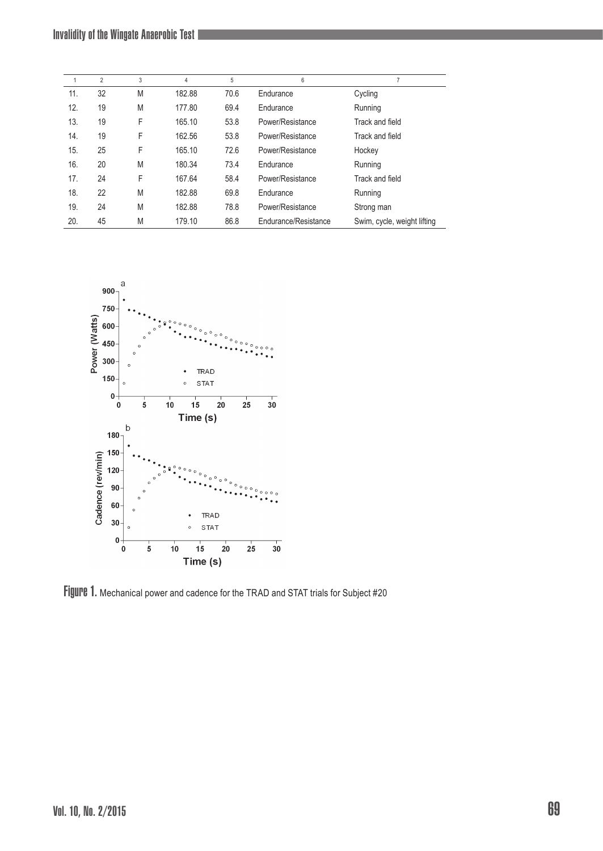|     | $\overline{2}$ | 3 | $\overline{4}$ | 5    | 6                    | $\overline{7}$              |
|-----|----------------|---|----------------|------|----------------------|-----------------------------|
| 11. | 32             | M | 182.88         | 70.6 | Endurance            | Cycling                     |
| 12. | 19             | M | 177.80         | 69.4 | Endurance            | Running                     |
| 13. | 19             | F | 165.10         | 53.8 | Power/Resistance     | Track and field             |
| 14. | 19             | F | 162.56         | 53.8 | Power/Resistance     | Track and field             |
| 15. | 25             | F | 165.10         | 72.6 | Power/Resistance     | Hockey                      |
| 16. | 20             | M | 180.34         | 73.4 | Endurance            | Running                     |
| 17. | 24             | F | 167.64         | 58.4 | Power/Resistance     | Track and field             |
| 18. | 22             | M | 182.88         | 69.8 | Endurance            | Running                     |
| 19. | 24             | M | 182.88         | 78.8 | Power/Resistance     | Strong man                  |
| 20. | 45             | M | 179.10         | 86.8 | Endurance/Resistance | Swim, cycle, weight lifting |



Figure 1. Mechanical power and cadence for the TRAD and STAT trials for Subject #20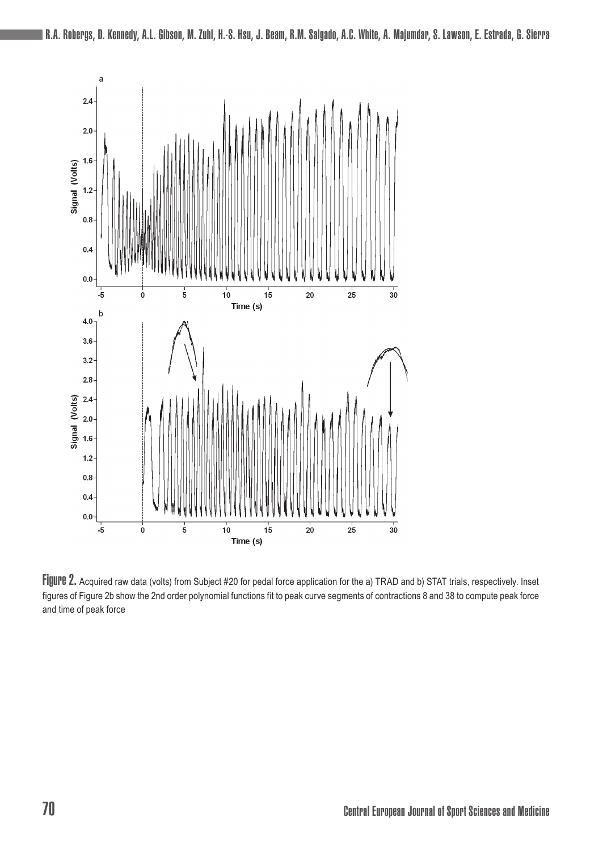

Figure 2. Acquired raw data (volts) from Subject #20 for pedal force application for the a) TRAD and b) STAT trials, respectively. Inset figures of Figure 2b show the 2nd order polynomial functions fit to peak curve segments of contractions 8 and 38 to compute peak force and time of peak force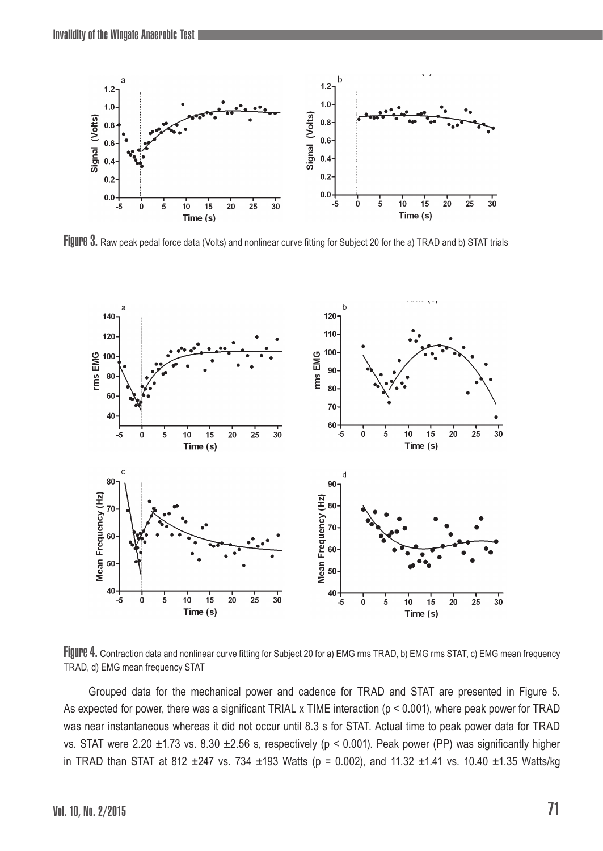

Figure 3. Raw peak pedal force data (Volts) and nonlinear curve fitting for Subject 20 for the a) TRAD and b) STAT trials



FIJUIPB 4. Contraction data and nonlinear curve fitting for Subject 20 for a) EMG rms TRAD, b) EMG rms STAT, c) EMG mean frequency TRAD, d) EMG mean frequency STAT

Grouped data for the mechanical power and cadence for TRAD and STAT are presented in Figure 5. As expected for power, there was a significant TRIAL x TIME interaction (p < 0.001), where peak power for TRAD was near instantaneous whereas it did not occur until 8.3 s for STAT. Actual time to peak power data for TRAD vs. STAT were 2.20 ±1.73 vs. 8.30 ±2.56 s, respectively (p < 0.001). Peak power (PP) was significantly higher in TRAD than STAT at 812  $\pm 247$  vs. 734  $\pm 193$  Watts (p = 0.002), and 11.32  $\pm 1.41$  vs. 10.40  $\pm 1.35$  Watts/kg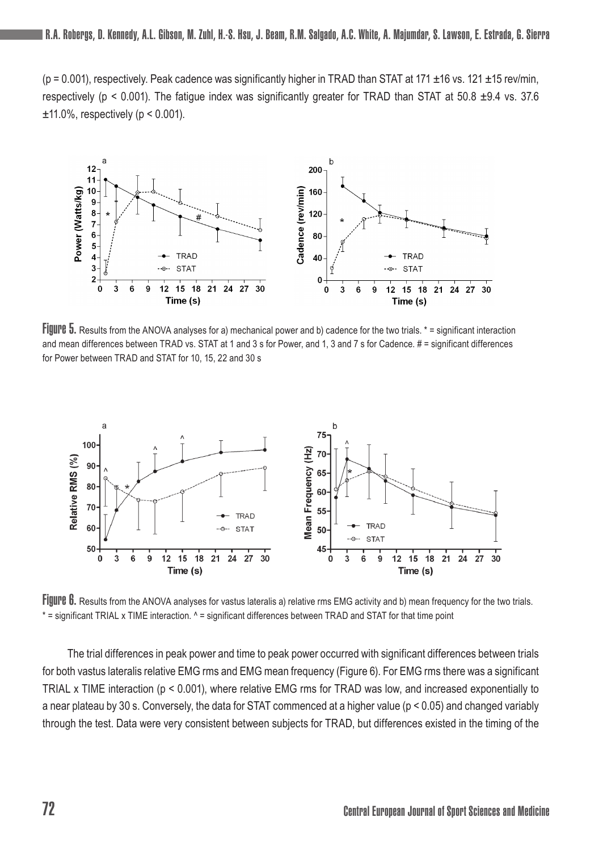$(p = 0.001)$ , respectively. Peak cadence was significantly higher in TRAD than STAT at 171  $\pm$ 16 vs. 121  $\pm$ 15 rev/min, respectively (p < 0.001). The fatigue index was significantly greater for TRAD than STAT at 50.8  $\pm$ 9.4 vs. 37.6  $±11.0\%$ , respectively ( $p < 0.001$ ).



Figure 5. Results from the ANOVA analyses for a) mechanical power and b) cadence for the two trials. \* = significant interaction and mean differences between TRAD vs. STAT at 1 and 3 s for Power, and 1, 3 and 7 s for Cadence. # = significant differences for Power between TRAD and STAT for 10, 15, 22 and 30 s



FIJUIPE 6. Results from the ANOVA analyses for vastus lateralis a) relative rms EMG activity and b) mean frequency for the two trials. \* = significant TRIAL x TIME interaction. ^ = significant differences between TRAD and STAT for that time point

The trial differences in peak power and time to peak power occurred with significant differences between trials for both vastus lateralis relative EMG rms and EMG mean frequency (Figure 6). For EMG rms there was a significant TRIAL x TIME interaction (p < 0.001), where relative EMG rms for TRAD was low, and increased exponentially to a near plateau by 30 s. Conversely, the data for STAT commenced at a higher value (p < 0.05) and changed variably through the test. Data were very consistent between subjects for TRAD, but differences existed in the timing of the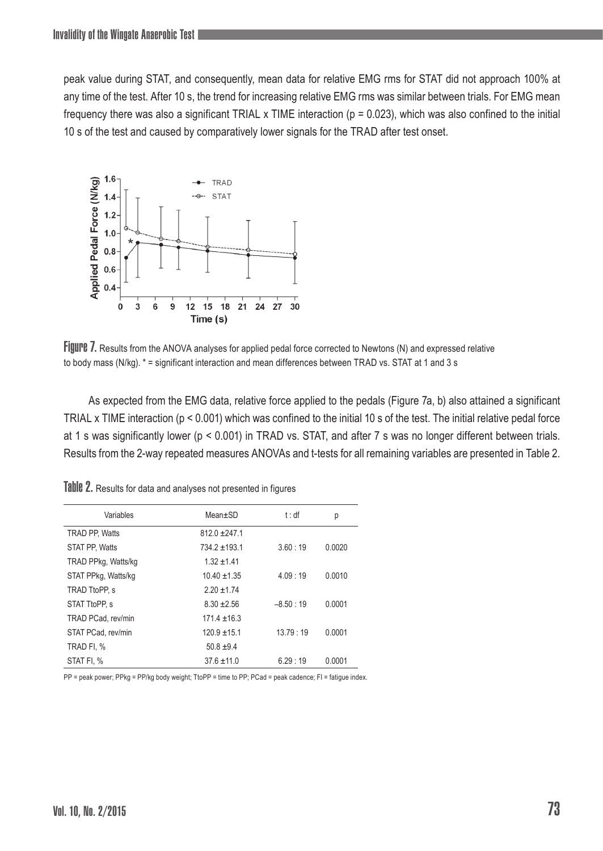peak value during STAT, and consequently, mean data for relative EMG rms for STAT did not approach 100% at any time of the test. After 10 s, the trend for increasing relative EMG rms was similar between trials. For EMG mean frequency there was also a significant TRIAL  $x$  TIME interaction ( $p = 0.023$ ), which was also confined to the initial 10 s of the test and caused by comparatively lower signals for the TRAD after test onset.



FIJUIPE 7. Results from the ANOVA analyses for applied pedal force corrected to Newtons (N) and expressed relative to body mass (N/kg). \* = significant interaction and mean differences between TRAD vs. STAT at 1 and 3 s

As expected from the EMG data, relative force applied to the pedals (Figure 7a, b) also attained a significant TRIAL x TIME interaction (p < 0.001) which was confined to the initial 10 s of the test. The initial relative pedal force at 1 s was significantly lower (p < 0.001) in TRAD vs. STAT, and after 7 s was no longer different between trials. Results from the 2-way repeated measures ANOVAs and t-tests for all remaining variables are presented in Table 2.

| Variables             | Mean±SD          | t : df     | р      |
|-----------------------|------------------|------------|--------|
| <b>TRAD PP. Watts</b> | $812.0 + 247.1$  |            |        |
| STAT PP, Watts        | $734.2 + 193.1$  | 3.60:19    | 0.0020 |
| TRAD PPkg, Watts/kg   | $1.32 + 1.41$    |            |        |
| STAT PPkg, Watts/kg   | $10.40 \pm 1.35$ | 4.09:19    | 0.0010 |
| TRAD TtoPP, s         | $2.20 + 1.74$    |            |        |
| STAT TtoPP. s         | $8.30 + 2.56$    | $-8.50:19$ | 0.0001 |
| TRAD PCad. rev/min    | $171.4 \pm 16.3$ |            |        |
| STAT PCad. rev/min    | $120.9 \pm 15.1$ | 13.79:19   | 0.0001 |
| TRAD FI, %            | $50.8 + 9.4$     |            |        |
| STAT FI. %            | $37.6 \pm 11.0$  | 6.29:19    | 0.0001 |

Table 2. Results for data and analyses not presented in figures

PP = peak power; PPkg = PP/kg body weight; TtoPP = time to PP; PCad = peak cadence; FI = fatigue index.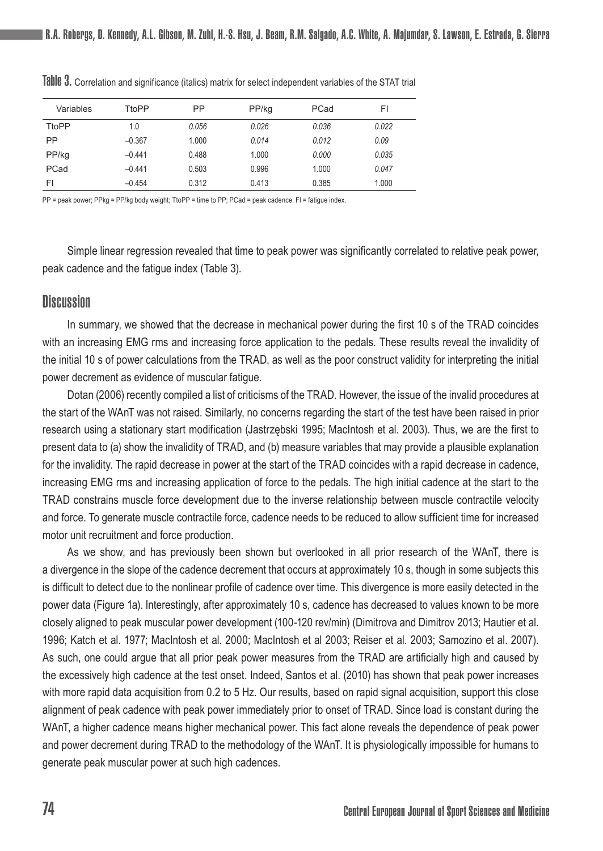| Variables    | TtoPP    | PP    | PP/kg | PCad  | FI    |
|--------------|----------|-------|-------|-------|-------|
| <b>TtoPP</b> | 1.0      | 0.056 | 0.026 | 0.036 | 0.022 |
| PP           | $-0.367$ | 1.000 | 0.014 | 0.012 | 0.09  |
| PP/kg        | $-0.441$ | 0.488 | 1.000 | 0.000 | 0.035 |
| PCad         | $-0.441$ | 0.503 | 0.996 | 1.000 | 0.047 |
| FI           | $-0.454$ | 0.312 | 0.413 | 0.385 | 1.000 |

Table 3. Correlation and significance (italics) matrix for select independent variables of the STAT trial

PP = peak power; PPkg = PP/kg body weight; TtoPP = time to PP; PCad = peak cadence; FI = fatigue index.

Simple linear regression revealed that time to peak power was significantly correlated to relative peak power, peak cadence and the fatigue index (Table 3).

## **Discussion**

In summary, we showed that the decrease in mechanical power during the first 10 s of the TRAD coincides with an increasing EMG rms and increasing force application to the pedals. These results reveal the invalidity of the initial 10 s of power calculations from the TRAD, as well as the poor construct validity for interpreting the initial power decrement as evidence of muscular fatigue.

Dotan (2006) recently compiled a list of criticisms of the TRAD. However, the issue of the invalid procedures at the start of the WAnT was not raised. Similarly, no concerns regarding the start of the test have been raised in prior research using a stationary start modification (Jastrzębski 1995; MacIntosh et al. 2003). Thus, we are the first to present data to (a) show the invalidity of TRAD, and (b) measure variables that may provide a plausible explanation for the invalidity. The rapid decrease in power at the start of the TRAD coincides with a rapid decrease in cadence, increasing EMG rms and increasing application of force to the pedals. The high initial cadence at the start to the TRAD constrains muscle force development due to the inverse relationship between muscle contractile velocity and force. To generate muscle contractile force, cadence needs to be reduced to allow sufficient time for increased motor unit recruitment and force production.

As we show, and has previously been shown but overlooked in all prior research of the WAnT, there is a divergence in the slope of the cadence decrement that occurs at approximately 10 s, though in some subjects this is difficult to detect due to the nonlinear profile of cadence over time. This divergence is more easily detected in the power data (Figure 1a). Interestingly, after approximately 10 s, cadence has decreased to values known to be more closely aligned to peak muscular power development (100-120 rev/min) (Dimitrova and Dimitrov 2013; Hautier et al. 1996; Katch et al. 1977; MacIntosh et al. 2000; MacIntosh et al 2003; Reiser et al. 2003; Samozino et al. 2007). As such, one could argue that all prior peak power measures from the TRAD are artificially high and caused by the excessively high cadence at the test onset. Indeed, Santos et al. (2010) has shown that peak power increases with more rapid data acquisition from 0.2 to 5 Hz. Our results, based on rapid signal acquisition, support this close alignment of peak cadence with peak power immediately prior to onset of TRAD. Since load is constant during the WAnT, a higher cadence means higher mechanical power. This fact alone reveals the dependence of peak power and power decrement during TRAD to the methodology of the WAnT. It is physiologically impossible for humans to generate peak muscular power at such high cadences.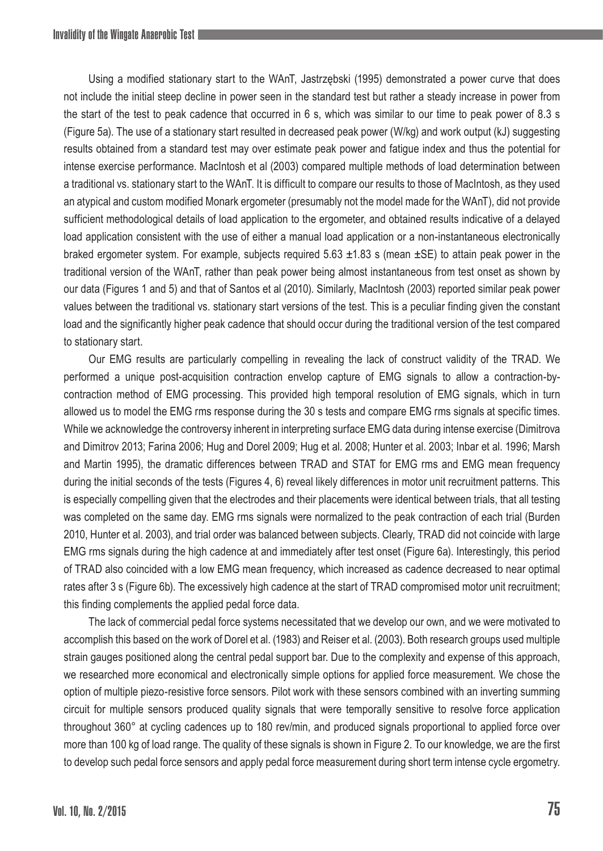Using a modified stationary start to the WAnT, Jastrzębski (1995) demonstrated a power curve that does not include the initial steep decline in power seen in the standard test but rather a steady increase in power from the start of the test to peak cadence that occurred in 6 s, which was similar to our time to peak power of 8.3 s (Figure 5a). The use of a stationary start resulted in decreased peak power (W/kg) and work output (kJ) suggesting results obtained from a standard test may over estimate peak power and fatigue index and thus the potential for intense exercise performance. MacIntosh et al (2003) compared multiple methods of load determination between a traditional vs. stationary start to the WAnT. It is difficult to compare our results to those of MacIntosh, as they used an atypical and custom modified Monark ergometer (presumably not the model made for the WAnT), did not provide sufficient methodological details of load application to the ergometer, and obtained results indicative of a delayed load application consistent with the use of either a manual load application or a non-instantaneous electronically braked ergometer system. For example, subjects required 5.63  $\pm$ 1.83 s (mean  $\pm$ SE) to attain peak power in the traditional version of the WAnT, rather than peak power being almost instantaneous from test onset as shown by our data (Figures 1 and 5) and that of Santos et al (2010). Similarly, MacIntosh (2003) reported similar peak power values between the traditional vs. stationary start versions of the test. This is a peculiar finding given the constant load and the significantly higher peak cadence that should occur during the traditional version of the test compared to stationary start.

Our EMG results are particularly compelling in revealing the lack of construct validity of the TRAD. We performed a unique post-acquisition contraction envelop capture of EMG signals to allow a contraction-bycontraction method of EMG processing. This provided high temporal resolution of EMG signals, which in turn allowed us to model the EMG rms response during the 30 s tests and compare EMG rms signals at specific times. While we acknowledge the controversy inherent in interpreting surface EMG data during intense exercise (Dimitrova and Dimitrov 2013; Farina 2006; Hug and Dorel 2009; Hug et al. 2008; Hunter et al. 2003; Inbar et al. 1996; Marsh and Martin 1995), the dramatic differences between TRAD and STAT for EMG rms and EMG mean frequency during the initial seconds of the tests (Figures 4, 6) reveal likely differences in motor unit recruitment patterns. This is especially compelling given that the electrodes and their placements were identical between trials, that all testing was completed on the same day. EMG rms signals were normalized to the peak contraction of each trial (Burden 2010, Hunter et al. 2003), and trial order was balanced between subjects. Clearly, TRAD did not coincide with large EMG rms signals during the high cadence at and immediately after test onset (Figure 6a). Interestingly, this period of TRAD also coincided with a low EMG mean frequency, which increased as cadence decreased to near optimal rates after 3 s (Figure 6b). The excessively high cadence at the start of TRAD compromised motor unit recruitment; this finding complements the applied pedal force data.

The lack of commercial pedal force systems necessitated that we develop our own, and we were motivated to accomplish this based on the work of Dorel et al. (1983) and Reiser et al. (2003). Both research groups used multiple strain gauges positioned along the central pedal support bar. Due to the complexity and expense of this approach, we researched more economical and electronically simple options for applied force measurement. We chose the option of multiple piezo-resistive force sensors. Pilot work with these sensors combined with an inverting summing circuit for multiple sensors produced quality signals that were temporally sensitive to resolve force application throughout 360° at cycling cadences up to 180 rev/min, and produced signals proportional to applied force over more than 100 kg of load range. The quality of these signals is shown in Figure 2. To our knowledge, we are the first to develop such pedal force sensors and apply pedal force measurement during short term intense cycle ergometry.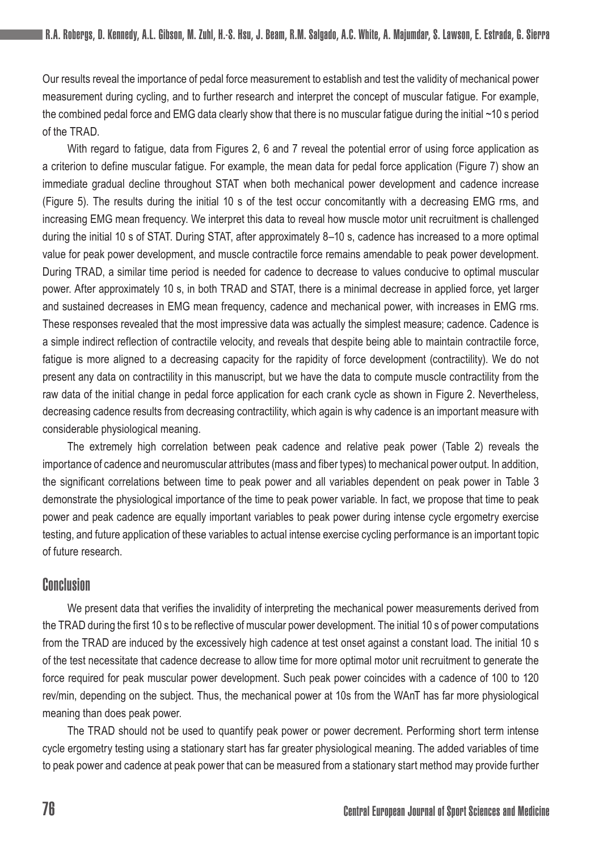Our results reveal the importance of pedal force measurement to establish and test the validity of mechanical power measurement during cycling, and to further research and interpret the concept of muscular fatigue. For example, the combined pedal force and EMG data clearly show that there is no muscular fatigue during the initial ~10 s period of the TRAD.

With regard to fatigue, data from Figures 2, 6 and 7 reveal the potential error of using force application as a criterion to define muscular fatigue. For example, the mean data for pedal force application (Figure 7) show an immediate gradual decline throughout STAT when both mechanical power development and cadence increase (Figure 5). The results during the initial 10 s of the test occur concomitantly with a decreasing EMG rms, and increasing EMG mean frequency. We interpret this data to reveal how muscle motor unit recruitment is challenged during the initial 10 s of STAT. During STAT, after approximately 8–10 s, cadence has increased to a more optimal value for peak power development, and muscle contractile force remains amendable to peak power development. During TRAD, a similar time period is needed for cadence to decrease to values conducive to optimal muscular power. After approximately 10 s, in both TRAD and STAT, there is a minimal decrease in applied force, yet larger and sustained decreases in EMG mean frequency, cadence and mechanical power, with increases in EMG rms. These responses revealed that the most impressive data was actually the simplest measure; cadence. Cadence is a simple indirect reflection of contractile velocity, and reveals that despite being able to maintain contractile force, fatigue is more aligned to a decreasing capacity for the rapidity of force development (contractility). We do not present any data on contractility in this manuscript, but we have the data to compute muscle contractility from the raw data of the initial change in pedal force application for each crank cycle as shown in Figure 2. Nevertheless, decreasing cadence results from decreasing contractility, which again is why cadence is an important measure with considerable physiological meaning.

The extremely high correlation between peak cadence and relative peak power (Table 2) reveals the importance of cadence and neuromuscular attributes (mass and fiber types) to mechanical power output. In addition, the significant correlations between time to peak power and all variables dependent on peak power in Table 3 demonstrate the physiological importance of the time to peak power variable. In fact, we propose that time to peak power and peak cadence are equally important variables to peak power during intense cycle ergometry exercise testing, and future application of these variables to actual intense exercise cycling performance is an important topic of future research.

## Conclusion

We present data that verifies the invalidity of interpreting the mechanical power measurements derived from the TRAD during the first 10 s to be reflective of muscular power development. The initial 10 s of power computations from the TRAD are induced by the excessively high cadence at test onset against a constant load. The initial 10 s of the test necessitate that cadence decrease to allow time for more optimal motor unit recruitment to generate the force required for peak muscular power development. Such peak power coincides with a cadence of 100 to 120 rev/min, depending on the subject. Thus, the mechanical power at 10s from the WAnT has far more physiological meaning than does peak power.

The TRAD should not be used to quantify peak power or power decrement. Performing short term intense cycle ergometry testing using a stationary start has far greater physiological meaning. The added variables of time to peak power and cadence at peak power that can be measured from a stationary start method may provide further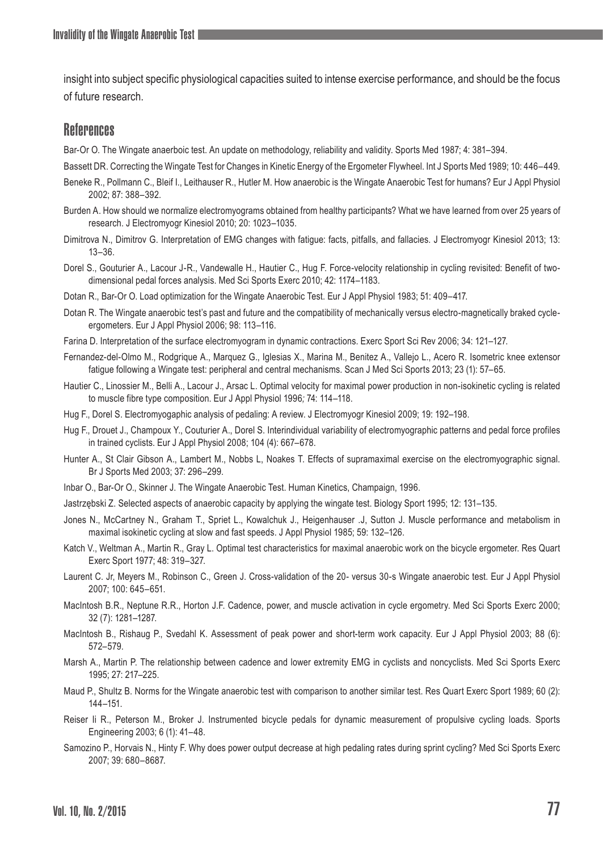insight into subject specific physiological capacities suited to intense exercise performance, and should be the focus of future research.

## **References**

Bar-Or O. The Wingate anaerboic test. An update on methodology, reliability and validity. Sports Med 1987; 4: 381–394.

Bassett DR. Correcting the Wingate Test for Changes in Kinetic Energy of the Ergometer Flywheel. Int J Sports Med 1989; 10: 446–449.

- Beneke R., Pollmann C., Bleif I., Leithauser R., Hutler M. How anaerobic is the Wingate Anaerobic Test for humans? Eur J Appl Physiol 2002; 87: 388–392.
- Burden A. How should we normalize electromyograms obtained from healthy participants? What we have learned from over 25 years of research. J Electromyogr Kinesiol 2010; 20: 1023–1035.
- Dimitrova N., Dimitrov G. Interpretation of EMG changes with fatigue: facts, pitfalls, and fallacies. J Electromyogr Kinesiol 2013; 13: 13–36.

Dorel S., Gouturier A., Lacour J-R., Vandewalle H., Hautier C., Hug F. Force-velocity relationship in cycling revisited: Benefit of twodimensional pedal forces analysis. Med Sci Sports Exerc 2010; 42: 1174–1183.

Dotan R., Bar-Or O. Load optimization for the Wingate Anaerobic Test. Eur J Appl Physiol 1983; 51: 409–417.

Dotan R. The Wingate anaerobic test's past and future and the compatibility of mechanically versus electro-magnetically braked cycleergometers. Eur J Appl Physiol 2006; 98: 113–116.

Farina D. Interpretation of the surface electromyogram in dynamic contractions. Exerc Sport Sci Rev 2006; 34: 121–127.

- Fernandez-del-Olmo M., Rodgrique A., Marquez G., Iglesias X., Marina M., Benitez A., Vallejo L., Acero R. Isometric knee extensor fatigue following a Wingate test: peripheral and central mechanisms. Scan J Med Sci Sports 2013; 23 (1): 57–65.
- Hautier C., Linossier M., Belli A., Lacour J., Arsac L. Optimal velocity for maximal power production in non-isokinetic cycling is related to muscle fibre type composition. Eur J Appl Physiol 1996*;* 74: 114–118.
- Hug F., Dorel S. Electromyogaphic analysis of pedaling: A review. J Electromyogr Kinesiol 2009; 19: 192–198.
- Hug F., Drouet J., Champoux Y., Couturier A., Dorel S. Interindividual variability of electromyographic patterns and pedal force profiles in trained cyclists. Eur J Appl Physiol 2008; 104 (4): 667–678.
- Hunter A., St Clair Gibson A., Lambert M., Nobbs L, Noakes T. Effects of supramaximal exercise on the electromyographic signal. Br J Sports Med 2003; 37: 296–299.
- Inbar O., Bar-Or O., Skinner J. The Wingate Anaerobic Test. Human Kinetics, Champaign, 1996.
- Jastrzębski Z. Selected aspects of anaerobic capacity by applying the wingate test. Biology Sport 1995; 12: 131–135.
- Jones N., McCartney N., Graham T., Spriet L., Kowalchuk J., Heigenhauser .J, Sutton J. Muscle performance and metabolism in maximal isokinetic cycling at slow and fast speeds. J Appl Physiol 1985; 59: 132–126.
- Katch V., Weltman A., Martin R., Gray L. Optimal test characteristics for maximal anaerobic work on the bicycle ergometer. Res Quart Exerc Sport 1977; 48: 319–327.
- Laurent C. Jr, Meyers M., Robinson C., Green J. Cross-validation of the 20- versus 30-s Wingate anaerobic test. Eur J Appl Physiol 2007; 100: 645–651.
- MacIntosh B.R., Neptune R.R., Horton J.F. Cadence, power, and muscle activation in cycle ergometry. Med Sci Sports Exerc 2000; 32 (7): 1281–1287.
- MacIntosh B., Rishaug P., Svedahl K. Assessment of peak power and short-term work capacity. Eur J Appl Physiol 2003; 88 (6): 572–579.
- Marsh A., Martin P. The relationship between cadence and lower extremity EMG in cyclists and noncyclists. Med Sci Sports Exerc 1995; 27: 217–225.
- Maud P., Shultz B. Norms for the Wingate anaerobic test with comparison to another similar test. Res Quart Exerc Sport 1989; 60 (2): 144–151.
- Reiser Ii R., Peterson M., Broker J. Instrumented bicycle pedals for dynamic measurement of propulsive cycling loads. Sports Engineering 2003; 6 (1): 41–48.
- Samozino P., Horvais N., Hinty F. Why does power output decrease at high pedaling rates during sprint cycling? Med Sci Sports Exerc 2007; 39: 680–8687.